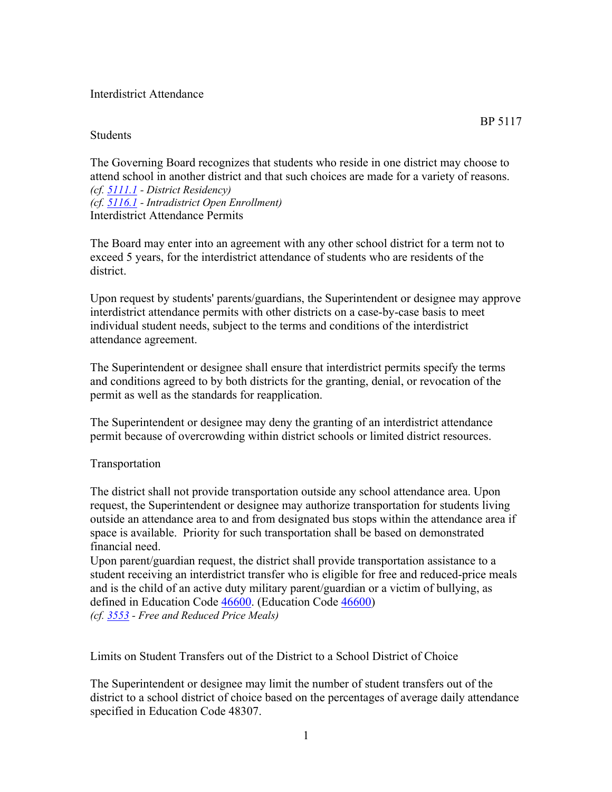## Interdistrict Attendance

## **Students**

The Governing Board recognizes that students who reside in one district may choose to attend school in another district and that such choices are made for a variety of reasons. *(cf. 5111.1 - District Residency) (cf. 5116.1 - Intradistrict Open Enrollment)* Interdistrict Attendance Permits

The Board may enter into an agreement with any other school district for a term not to exceed 5 years, for the interdistrict attendance of students who are residents of the district.

Upon request by students' parents/guardians, the Superintendent or designee may approve interdistrict attendance permits with other districts on a case-by-case basis to meet individual student needs, subject to the terms and conditions of the interdistrict attendance agreement.

The Superintendent or designee shall ensure that interdistrict permits specify the terms and conditions agreed to by both districts for the granting, denial, or revocation of the permit as well as the standards for reapplication.

The Superintendent or designee may deny the granting of an interdistrict attendance permit because of overcrowding within district schools or limited district resources.

## Transportation

The district shall not provide transportation outside any school attendance area. Upon request, the Superintendent or designee may authorize transportation for students living outside an attendance area to and from designated bus stops within the attendance area if space is available. Priority for such transportation shall be based on demonstrated financial need.

Upon parent/guardian request, the district shall provide transportation assistance to a student receiving an interdistrict transfer who is eligible for free and reduced-price meals and is the child of an active duty military parent/guardian or a victim of bullying, as defined in Education Code 46600. (Education Code 46600) *(cf. 3553 - Free and Reduced Price Meals)*

Limits on Student Transfers out of the District to a School District of Choice

The Superintendent or designee may limit the number of student transfers out of the district to a school district of choice based on the percentages of average daily attendance specified in Education Code 48307.